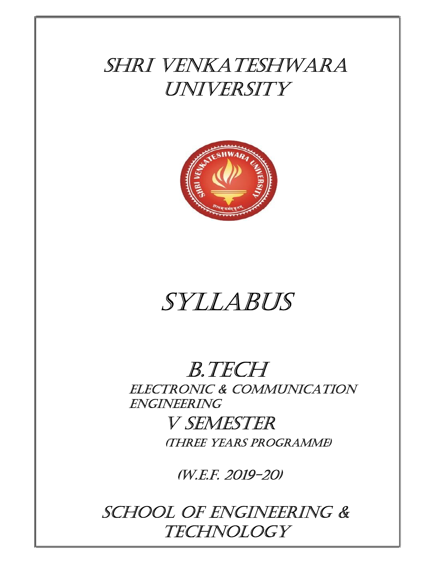## SHRI VENKATESHWARA UNIVERSITY



# SYllAbUS

### b.TEcH ElEcTRoNIc & commUNIcATIoN ENgINEERINg

V SEmESTER (THREE YEARS PRogRAmmE)

(W.E.f. 2019-20)

SCHOOL OF ENGINEERING & **TECHNOLOGY**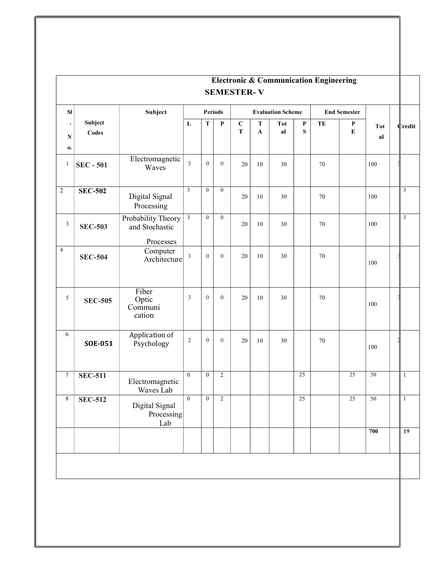|                  | <b>Electronic &amp; Communication Engineering</b><br><b>SEMESTER-V</b> |                                       |                |                |                |                            |                            |                          |                          |        |                     |                  |                |
|------------------|------------------------------------------------------------------------|---------------------------------------|----------------|----------------|----------------|----------------------------|----------------------------|--------------------------|--------------------------|--------|---------------------|------------------|----------------|
| ${\bf S}$        |                                                                        | Subject                               |                |                | Periods        |                            |                            | <b>Evaluation Scheme</b> |                          |        | <b>End Semester</b> |                  |                |
| ${\bf N}$<br>0.  | Subject<br>Codes                                                       |                                       | $\bf L$        | ${\bf T}$      | $\mathbf P$    | $\mathbf C$<br>$\mathbf T$ | $\mathbf T$<br>$\mathbf A$ | <b>Tot</b><br>al         | $\mathbf P$<br>${\bf S}$ | TE     | $\mathbf P$<br>E    | <b>Tot</b><br>al | <b>C</b> redit |
| $\mathbf{1}$     | <b>SEC - 501</b>                                                       | Electromagnetic<br>Waves              | $\overline{3}$ | $\overline{0}$ | $\overline{0}$ | $20\,$                     | $10\,$                     | 30                       |                          | 70     |                     | 100              |                |
| $\overline{2}$   | <b>SEC-502</b>                                                         | Digital Signal<br>Processing          | $\overline{3}$ | $\overline{0}$ | $\overline{0}$ | 20                         | $10\,$                     | 30                       |                          | $70\,$ |                     | 100              | $\mathfrak{Z}$ |
| $\mathfrak{Z}$   | <b>SEC-503</b>                                                         | Probability Theory<br>and Stochastic  | $\mathbf{3}$   | $\overline{0}$ | $\overline{0}$ | $20\,$                     | $10\,$                     | 30                       |                          | 70     |                     | 100              | $\mathfrak{Z}$ |
| $\overline{4}$   | <b>SEC-504</b>                                                         | Processes<br>Computer<br>Architecture | $\overline{3}$ | $\overline{0}$ | $\overline{0}$ | 20                         | $10\,$                     | 30                       |                          | 70     |                     | 100              |                |
| $5\overline{)}$  | <b>SEC-505</b>                                                         | Fiber<br>Optic<br>Communi<br>cation   | $\mathfrak{Z}$ | $\overline{0}$ | $\overline{0}$ | 20                         | $10\,$                     | 30                       |                          | 70     |                     | 100              |                |
| 6                | <b>SOE-051</b>                                                         | Application of<br>Psychology          | $\sqrt{2}$     | $\overline{0}$ | $\overline{0}$ | 20                         | $10\,$                     | 30                       |                          | 70     |                     | 100              |                |
| $\boldsymbol{7}$ | <b>SEC-511</b>                                                         | Electromagnetic<br>Waves Lab          | $\theta$       | $\overline{0}$ | $\overline{2}$ |                            |                            |                          | 25                       |        | 25                  | 50               | $\mathbf{1}$   |
| 8                | <b>SEC-512</b>                                                         | Digital Signal<br>Processing<br>Lab   | $\theta$       | $\theta$       | $\mathbf{2}$   |                            |                            |                          | 25                       |        | 25                  | 50               | -1             |
|                  |                                                                        |                                       |                |                |                |                            |                            |                          |                          |        |                     | 700              | 19             |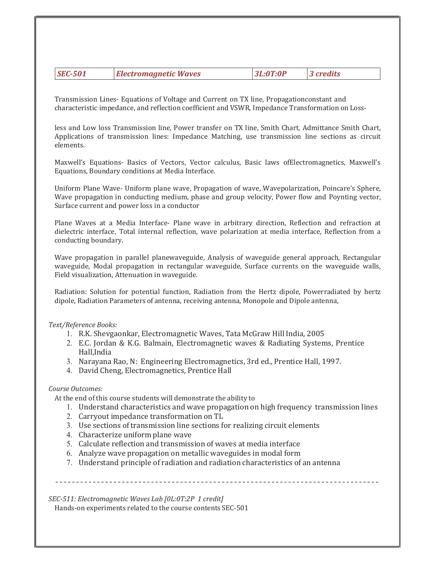|  | <b>SEC-501</b> | <b>Electromagnetic Waves</b> | 3L:0T:0P | 3 credits |
|--|----------------|------------------------------|----------|-----------|
|--|----------------|------------------------------|----------|-----------|

Transmission Lines- Equations of Voltage and Current on TX line, Propagationconstant and characteristic impedance, and reflection coefficient and VSWR, Impedance Transformation on Loss-

less and Low loss Transmission line, Power transfer on TX line, Smith Chart, Admittance Smith Chart, Applications of transmission lines: Impedance Matching, use transmission line sections as circuit elements.

Maxwell's Equations- Basics of Vectors, Vector calculus, Basic laws ofElectromagnetics, Maxwell's Equations, Boundary conditions at Media Interface.

Uniform Plane Wave- Uniform plane wave, Propagation of wave, Wavepolarization, Poincare's Sphere, Wave propagation in conducting medium, phase and group velocity, Power flow and Poynting vector, Surface current and power loss in a conductor

Plane Waves at a Media Interface- Plane wave in arbitrary direction, Reflection and refraction at dielectric interface, Total internal reflection, wave polarization at media interface, Reflection from a conducting boundary.

Wave propagation in parallel planewaveguide, Analysis of waveguide general approach, Rectangular waveguide, Modal propagation in rectangular waveguide, Surface currents on the waveguide walls, Field visualization, Attenuation in waveguide.

Radiation: Solution for potential function, Radiation from the Hertz dipole, Powerradiated by hertz dipole, Radiation Parameters of antenna, receiving antenna, Monopole and Dipole antenna,

#### Text/Reference Books:

- 1. R.K. Shevgaonkar, Electromagnetic Waves, Tata McGraw Hill India, 2005
- 2. E.C. Jordan & K.G. Balmain, Electromagnetic waves & Radiating Systems, Prentice Hall, India
- 3. Narayana Rao, N: Engineering Electromagnetics, 3rd ed., Prentice Hall, 1997.
- 4. David Cheng, Electromagnetics, Prentice Hall

#### Course Outcomes:

At the end of this course students will demonstrate the ability to

- 1. Understand characteristics and wave propagation on high frequency transmission lines
- 2. Carryout impedance transformation on TL
- 3. Use sections of transmission line sections for realizing circuit elements
- 4. Characterize uniform plane wave
- 5. Calculate reflection and transmission of waves at media interface
- 6. Analyze wave propagation on metallic waveguides in modal form
- 7. Understand principle of radiation and radiation characteristics of an antenna

SEC-511: Electromagnetic Waves Lab [0L:0T:2P 1 credit]

Hands-on experiments related to the course contents SEC-501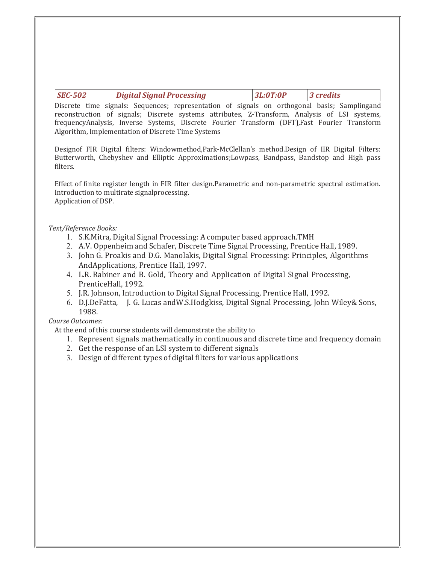| <b>SEC-502</b> | Digital Signal Processing | 3L:0T:0P | $\vert$ 3 credits |
|----------------|---------------------------|----------|-------------------|
|                |                           |          |                   |

Discrete time signals: Sequences; representation of signals on orthogonal basis; Samplingand reconstruction of signals; Discrete systems attributes, Z-Transform, Analysis of LSI systems, frequencyAnalysis, Inverse Systems, Discrete Fourier Transform (DFT),Fast Fourier Transform Algorithm, Implementation of Discrete Time Systems

Designof FIR Digital filters: Windowmethod,Park-McClellan's method.Design of IIR Digital Filters: Butterworth, Chebyshev and Elliptic Approximations;Lowpass, Bandpass, Bandstop and High pass filters.

Effect of finite register length in FIR filter design.Parametric and non-parametric spectral estimation. Introduction to multirate signalprocessing. Application of DSP.

#### Text/Reference Books:

- 1. S.K.Mitra, Digital Signal Processing: A computer based approach.TMH
- 2. A.V. Oppenheim and Schafer, Discrete Time Signal Processing, Prentice Hall, 1989.
- 3. John G. Proakis and D.G. Manolakis, Digital Signal Processing: Principles, Algorithms And Applications, Prentice Hall, 1997.
- 4. L.R. Rabiner and B. Gold, Theory and Application of Digital Signal Processing, Prentice Hall, 1992.
- 5. J.R. Johnson, Introduction to Digital Signal Processing, Prentice Hall, 1992.
- 6. D.J.DeFatta, J. G. Lucas andW.S.Hodgkiss, Digital Signal Processing, John Wiley& Sons, 1988.

#### Course Outcomes:

At the end of this course students will demonstrate the ability to

- 1. Represent signals mathematically in continuous and discrete time and frequency domain
- 2. Get the response of an LSI system to different signals
- 3. Design of different types of digital filters for various applications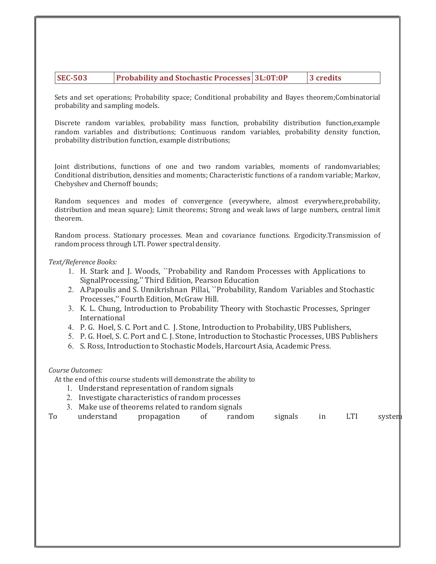| <b>SEC-503</b> | <b>Probability and Stochastic Processes 3L:0T:0P</b> |  | 3 credits |
|----------------|------------------------------------------------------|--|-----------|
|----------------|------------------------------------------------------|--|-----------|

Sets and set operations; Probability space; Conditional probability and Bayes theorem;Combinatorial probability and sampling models.

Discrete random variables, probability mass function, probability distribution function,example random variables and distributions; Continuous random variables, probability density function, probability distribution function, example distributions;

Joint distributions, functions of one and two random variables, moments of randomvariables; Conditional distribution, densities and moments; Characteristic functions of a random variable; Markov, Chebyshev and Chernoff bounds;

Random sequences and modes of convergence (everywhere, almost everywhere,probability, distribution and mean square); Limit theorems; Strong and weak laws of large numbers, central limit theorem.

Random process. Stationary processes. Mean and covariance functions. Ergodicity.Transmission of random process through LTI. Power spectral density.

#### Text/Reference Books:

- 1. H. Stark and J. Woods, ``Probability and Random Processes with Applications to Signal Processing," Third Edition, Pearson Education
- 2. A.Papoulis and S. Unnikrishnan Pillai, ``Probability, Random Variables and Stochastic Processes,'' Fourth Edition, McGraw Hill.
- 3. K. L. Chung, Introduction to Probability Theory with Stochastic Processes, Springer International
- 4. P. G. Hoel, S. C. Port and C. J. Stone, Introduction to Probability, UBS Publishers,
- 5. P. G. Hoel, S. C. Port and C. J. Stone, Introduction to Stochastic Processes, UBS Publishers
- 6. S. Ross, Introduction to Stochastic Models, Harcourt Asia, Academic Press.

#### Course Outcomes:

At the end of this course students will demonstrate the ability to

- 1. Understand representation of random signals
- 2. Investigate characteristics of random processes
- 3. Make use of theorems related to random signals

|    | understand | propagation | of | random | signals |       | LTI | system |
|----|------------|-------------|----|--------|---------|-------|-----|--------|
| To |            |             |    |        |         | $\ln$ |     |        |
|    |            |             |    |        |         |       |     |        |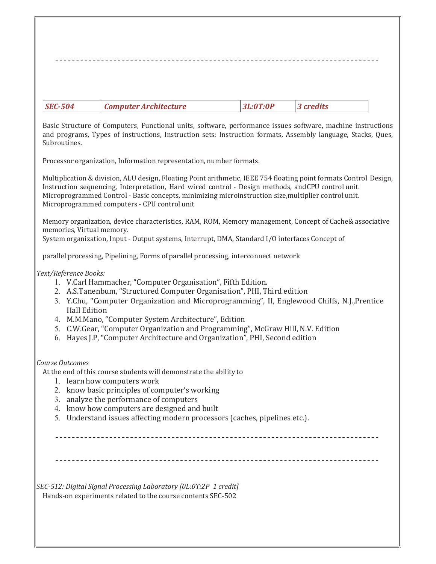Basic Structure of Computers, Functional units, software, performance issues software, machine instructions and programs, Types of instructions, Instruction sets: Instruction formats, Assembly language, Stacks, Ques, Subroutines.

Processor organization, Information representation, number formats.

Multiplication & division, ALU design, Floating Point arithmetic, IEEE 754 floating point formats Control Design, Instruction sequencing, Interpretation, Hard wired control - Design methods, and CPU control unit. Microprogrammed Control - Basic concepts, minimizing microinstruction size, multiplier control unit. Microprogrammed computers - CPU control unit

Memory organization, device characteristics, RAM, ROM, Memory management, Concept of Cache & associative memories, Virtual memory.

System organization, Input - Output systems, Interrupt, DMA, Standard I/O interfaces Concept of

parallel processing, Pipelining, Forms of parallel processing, interconnect network

#### Text/Reference Books:

- 1. V.Carl Hammacher, "Computer Organisation", Fifth Edition.
- 2. A.S.Tanenbum, "Structured Computer Organisation", PHI, Third edition
- 3. Y.Chu, "Computer Organization and Microprogramming", II, Englewood Chiffs, N.J., Prentice Hall Edition
- 4. M.M.Mano, "Computer System Architecture", Edition
- 5. C.W.Gear, "Computer Organization and Programming", McGraw Hill, N.V. Edition
- 6. Hayes J.P, "Computer Architecture and Organization", PHI, Second edition

#### Course Outcomes

At the end of this course students will demonstrate the ability to

- 1. learn how computers work
- 2. know basic principles of computer's working
- 3. analyze the performance of computers
- 4. know how computers are designed and built
- 5. Understand issues affecting modern processors (caches, pipelines etc.).

SEC-512: Digital Signal Processing Laboratory [0L:0T:2P 1 credit] Hands-on experiments related to the course contents SEC-502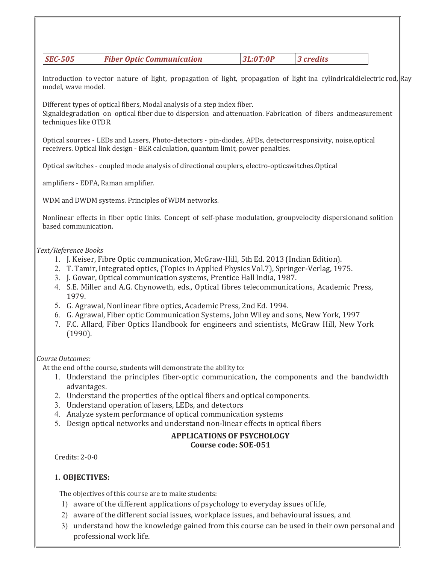|  | <i><b>SEC-505</b></i> | <b>Fiber Optic Communication</b> | 3L:0T:0P | $\vert$ 3 credits |
|--|-----------------------|----------------------------------|----------|-------------------|
|--|-----------------------|----------------------------------|----------|-------------------|

Introduction to vector nature of light, propagation of light, propagation of light ina cylindrical dielectric rod, Ray model, wave model.

Different types of optical fibers, Modal analysis of a step index fiber.

Signaldegradation on optical fiber due to dispersion and attenuation. Fabrication of fibers and measurement techniques like OTDR.

Optical sources - LEDs and Lasers, Photo-detectors - pin-diodes, APDs, detectorresponsivity, noise, optical receivers. Optical link design - BER calculation, quantum limit, power penalties.

Optical switches - coupled mode analysis of directional couplers, electro-opticswitches. Optical

amplifiers - EDFA, Raman amplifier.

WDM and DWDM systems. Principles of WDM networks.

Nonlinear effects in fiber optic links. Concept of self-phase modulation, groupvelocity dispersionand solition based communication.

#### Text/Reference Books

- 1. J. Keiser, Fibre Optic communication, McGraw-Hill, 5th Ed. 2013 (Indian Edition).
- 2. T. Tamir, Integrated optics, (Topics in Applied Physics Vol.7), Springer-Verlag, 1975.
- 3. J. Gowar, Optical communication systems, Prentice Hall India, 1987.
- 4. S.E. Miller and A.G. Chynoweth, eds., Optical fibres telecommunications, Academic Press, 1979.
- 5. G. Agrawal, Nonlinear fibre optics, Academic Press, 2nd Ed. 1994.
- 6. G. Agrawal, Fiber optic Communication Systems, John Wiley and sons, New York, 1997
- 7. F.C. Allard, Fiber Optics Handbook for engineers and scientists, McGraw Hill, New York (1990).

#### Course Outcomes:

At the end of the course, students will demonstrate the ability to:

- 1. Understand the principles fiber-optic communication, the components and the bandwidth advantages.
- 2. Understand the properties of the optical fibers and optical components.
- 3. Understand operation of lasers, LEDs, and detectors
- 4. Analyze system performance of optical communication systems
- 5. Design optical networks and understand non-linear effects in optical fibers

#### APPLICATIONS OF PSYCHOLOGY Course code: SOE-051

Credits: 2-0-0

#### 1. OBJECTIVES:

The objectives of this course are to make students:

- 1) aware of the different applications of psychology to everyday issues of life,
- 2) aware of the different social issues, workplace issues, and behavioural issues, and
- 3) understand how the knowledge gained from this course can be used in their own personal and professional work life.